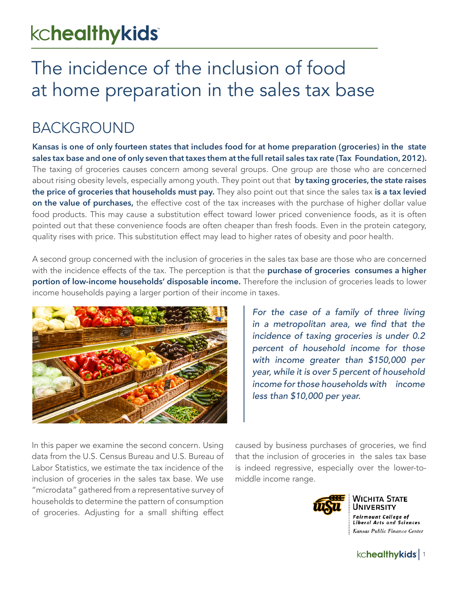# kchealthykids

# The incidence of the inclusion of food at home preparation in the sales tax base

## BACKGROUND

**Kansas is one of only fourteen states that includes food for at home preparation (groceries) in the state sales tax base and one of only seven that taxes them at the full retail sales tax rate (Tax Foundation, 2012).**  The taxing of groceries causes concern among several groups. One group are those who are concerned about rising obesity levels, especially among youth. They point out that **by taxing groceries, the state raises the price of groceries that households must pay.** They also point out that since the sales tax **is a tax levied on the value of purchases,** the effective cost of the tax increases with the purchase of higher dollar value food products. This may cause a substitution effect toward lower priced convenience foods, as it is often pointed out that these convenience foods are often cheaper than fresh foods. Even in the protein category, quality rises with price. This substitution effect may lead to higher rates of obesity and poor health.

A second group concerned with the inclusion of groceries in the sales tax base are those who are concerned with the incidence effects of the tax. The perception is that the **purchase of groceries consumes a higher portion of low-income households' disposable income.** Therefore the inclusion of groceries leads to lower income households paying a larger portion of their income in taxes.



*For the case of a family of three living*  in a metropolitan area, we find that the incidence of taxing groceries is under 0.2 percent of household income for those with income greater than \$150,000 per year, while it is over 5 percent of household income for those households with income less than \$10,000 per year.

In this paper we examine the second concern. Using data from the U.S. Census Bureau and U.S. Bureau of Labor Statistics, we estimate the tax incidence of the inclusion of groceries in the sales tax base. We use "microdata" gathered from a representative survey of households to determine the pattern of consumption of groceries. Adjusting for a small shifting effect

caused by business purchases of groceries, we find that the inclusion of groceries in the sales tax base is indeed regressive, especially over the lower-tomiddle income range.



WICHITA STATE **JNIVERSITY** Fairmount College of<br>Liberal Arts and Sciences Kansas Public Finance Center

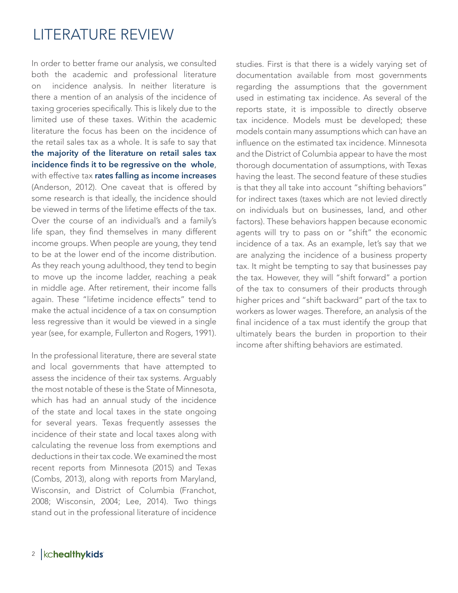#### LITERATURE REVIEW

In order to better frame our analysis, we consulted both the academic and professional literature on incidence analysis. In neither literature is there a mention of an analysis of the incidence of taxing groceries specifically. This is likely due to the limited use of these taxes. Within the academic literature the focus has been on the incidence of the retail sales tax as a whole. It is safe to say that **the majority of the literature on retail sales tax incidence finds it to be regressive on the whole**, with effective tax **rates falling as income increases** (Anderson, 2012). One caveat that is offered by some research is that ideally, the incidence should be viewed in terms of the lifetime effects of the tax. Over the course of an individual's and a family's life span, they find themselves in many different income groups. When people are young, they tend to be at the lower end of the income distribution. As they reach young adulthood, they tend to begin to move up the income ladder, reaching a peak in middle age. After retirement, their income falls again. These "lifetime incidence effects" tend to make the actual incidence of a tax on consumption less regressive than it would be viewed in a single year (see, for example, Fullerton and Rogers, 1991).

In the professional literature, there are several state and local governments that have attempted to assess the incidence of their tax systems. Arguably the most notable of these is the State of Minnesota, which has had an annual study of the incidence of the state and local taxes in the state ongoing for several years. Texas frequently assesses the incidence of their state and local taxes along with calculating the revenue loss from exemptions and deductions in their tax code. We examined the most recent reports from Minnesota (2015) and Texas (Combs, 2013), along with reports from Maryland, Wisconsin, and District of Columbia (Franchot, 2008; Wisconsin, 2004; Lee, 2014). Two things stand out in the professional literature of incidence

studies. First is that there is a widely varying set of documentation available from most governments regarding the assumptions that the government used in estimating tax incidence. As several of the reports state, it is impossible to directly observe tax incidence. Models must be developed; these models contain many assumptions which can have an influence on the estimated tax incidence. Minnesota and the District of Columbia appear to have the most thorough documentation of assumptions, with Texas having the least. The second feature of these studies is that they all take into account "shifting behaviors" for indirect taxes (taxes which are not levied directly on individuals but on businesses, land, and other factors). These behaviors happen because economic agents will try to pass on or "shift" the economic incidence of a tax. As an example, let's say that we are analyzing the incidence of a business property tax. It might be tempting to say that businesses pay the tax. However, they will "shift forward" a portion of the tax to consumers of their products through higher prices and "shift backward" part of the tax to workers as lower wages. Therefore, an analysis of the final incidence of a tax must identify the group that ultimately bears the burden in proportion to their income after shifting behaviors are estimated.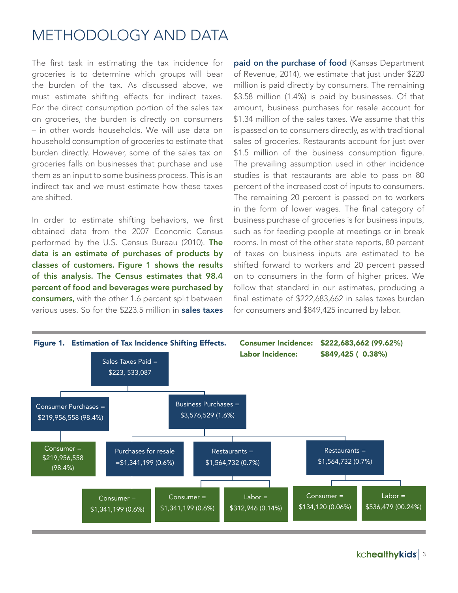#### METHODOLOGY AND DATA

The first task in estimating the tax incidence for groceries is to determine which groups will bear the burden of the tax. As discussed above, we must estimate shifting effects for indirect taxes. For the direct consumption portion of the sales tax on groceries, the burden is directly on consumers – in other words households. We will use data on household consumption of groceries to estimate that burden directly. However, some of the sales tax on groceries falls on businesses that purchase and use them as an input to some business process. This is an indirect tax and we must estimate how these taxes are shifted.

In order to estimate shifting behaviors, we first obtained data from the 2007 Economic Census performed by the U.S. Census Bureau (2010). **The data is an estimate of purchases of products by classes of customers. Figure 1 shows the results of this analysis. The Census estimates that 98.4 percent of food and beverages were purchased by consumers,** with the other 1.6 percent split between various uses. So for the \$223.5 million in **sales taxes** 

**paid on the purchase of food** (Kansas Department of Revenue, 2014), we estimate that just under \$220 million is paid directly by consumers. The remaining \$3.58 million (1.4%) is paid by businesses. Of that amount, business purchases for resale account for \$1.34 million of the sales taxes. We assume that this is passed on to consumers directly, as with traditional sales of groceries. Restaurants account for just over \$1.5 million of the business consumption figure. The prevailing assumption used in other incidence studies is that restaurants are able to pass on 80 percent of the increased cost of inputs to consumers. The remaining 20 percent is passed on to workers in the form of lower wages. The final category of business purchase of groceries is for business inputs, such as for feeding people at meetings or in break rooms. In most of the other state reports, 80 percent of taxes on business inputs are estimated to be shifted forward to workers and 20 percent passed on to consumers in the form of higher prices. We follow that standard in our estimates, producing a final estimate of \$222,683,662 in sales taxes burden for consumers and \$849,425 incurred by labor.



kchealthykids | 3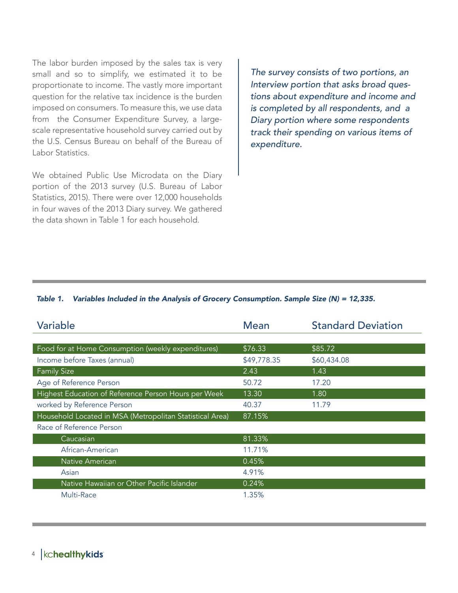The labor burden imposed by the sales tax is very small and so to simplify, we estimated it to be proportionate to income. The vastly more important question for the relative tax incidence is the burden imposed on consumers. To measure this, we use data from the Consumer Expenditure Survey, a largescale representative household survey carried out by the U.S. Census Bureau on behalf of the Bureau of Labor Statistics.

We obtained Public Use Microdata on the Diary portion of the 2013 survey (U.S. Bureau of Labor Statistics, 2015). There were over 12,000 households in four waves of the 2013 Diary survey. We gathered the data shown in Table 1 for each household.

The survey consists of two portions, an Interview portion that asks broad questions about expenditure and income and is completed by all respondents, and a Diary portion where some respondents track their spending on various items of expenditure.

#### *Table 1. Variables Included in the Analysis of Grocery Consumption. Sample Size (N) = 12,335.*

| Variable                                                 | <b>Mean</b> | <b>Standard Deviation</b> |
|----------------------------------------------------------|-------------|---------------------------|
|                                                          |             |                           |
| Food for at Home Consumption (weekly expenditures)       | \$76.33     | \$85.72                   |
| Income before Taxes (annual)                             | \$49,778.35 | \$60,434.08               |
| Family Size                                              | 2.43        | 1.43                      |
| Age of Reference Person                                  | 50.72       | 17.20                     |
| Highest Education of Reference Person Hours per Week     | 13.30       | 1.80                      |
| worked by Reference Person                               | 40.37       | 11.79                     |
| Household Located in MSA (Metropolitan Statistical Area) | 87.15%      |                           |
| Race of Reference Person                                 |             |                           |
| Caucasian                                                | 81.33%      |                           |
| African-American                                         | 11.71%      |                           |
| Native American                                          | 0.45%       |                           |
| Asian                                                    | 4.91%       |                           |
| Native Hawaiian or Other Pacific Islander                | 0.24%       |                           |
| Multi-Race                                               | 1.35%       |                           |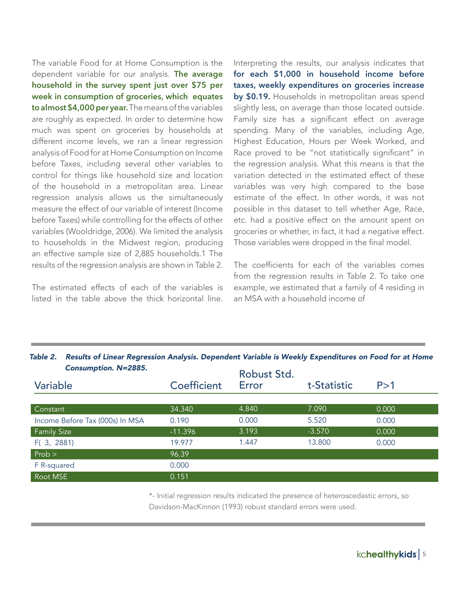The variable Food for at Home Consumption is the dependent variable for our analysis. **The average household in the survey spent just over \$75 per week in consumption of groceries, which equates to almost \$4,000 per year.** The means of the variables are roughly as expected. In order to determine how much was spent on groceries by households at different income levels, we ran a linear regression analysis of Food for at Home Consumption on Income before Taxes, including several other variables to control for things like household size and location of the household in a metropolitan area. Linear regression analysis allows us the simultaneously measure the effect of our variable of interest (Income before Taxes) while controlling for the effects of other variables (Wooldridge, 2006). We limited the analysis to households in the Midwest region, producing an effective sample size of 2,885 households.1 The results of the regression analysis are shown in Table 2.

The estimated effects of each of the variables is listed in the table above the thick horizontal line.

Interpreting the results, our analysis indicates that **for each \$1,000 in household income before taxes, weekly expenditures on groceries increase by \$0.19.** Households in metropolitan areas spend slightly less, on average than those located outside. Family size has a significant effect on average spending. Many of the variables, including Age, Highest Education, Hours per Week Worked, and Race proved to be "not statistically significant" in the regression analysis. What this means is that the variation detected in the estimated effect of these variables was very high compared to the base estimate of the effect. In other words, it was not possible in this dataset to tell whether Age, Race, etc. had a positive effect on the amount spent on groceries or whether, in fact, it had a negative effect. Those variables were dropped in the final model.

The coefficients for each of the variables comes from the regression results in Table 2. To take one example, we estimated that a family of 4 residing in an MSA with a household income of

| <b>Consumption. N=2885.</b>     |             | Robust Std. |             |       |
|---------------------------------|-------------|-------------|-------------|-------|
| Variable                        | Coefficient | Error       | t-Statistic | P > 1 |
|                                 |             |             |             |       |
| Constant                        | 34.340      | 4.840       | 7.090       | 0.000 |
| Income Before Tax (000s) In MSA | 0.190       | 0.000       | 5.520       | 0.000 |
| <b>Family Size</b>              | $-11.396$   | 3.193       | $-3.570$    | 0.000 |
| F(3, 2881)                      | 19.977      | 1.447       | 13.800      | 0.000 |
| $Prob$ >                        | 96.39       |             |             |       |
| F R-squared                     | 0.000       |             |             |       |
| $\,$ Root MSE $\,$              | 0.151       |             |             |       |

*Table 2. Results of Linear Regression Analysis. Dependent Variable is Weekly Expenditures on Food for at Home* 

\*- Initial regression results indicated the presence of heteroscedastic errors, so Davidson-MacKinnon (1993) robust standard errors were used.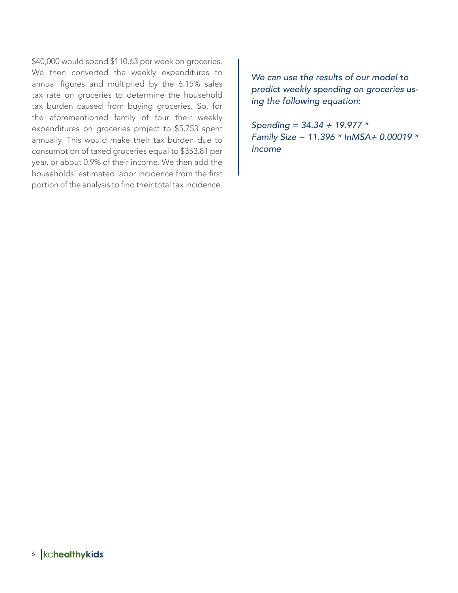\$40,000 would spend \$110.63 per week on groceries. We then converted the weekly expenditures to annual figures and multiplied by the 6.15% sales tax rate on groceries to determine the household tax burden caused from buying groceries. So, for the aforementioned family of four their weekly expenditures on groceries project to \$5,753 spent annually. This would make their tax burden due to consumption of taxed groceries equal to \$353.81 per year, or about 0.9% of their income. We then add the households' estimated labor incidence from the first portion of the analysis to find their total tax incidence.

We can use the results of our model to predict weekly spending on groceries using the following equation:

Spending =  $34.34 + 19.977$  \* Family Size − 11.396 \* InMSA+ 0.00019 \* *Income*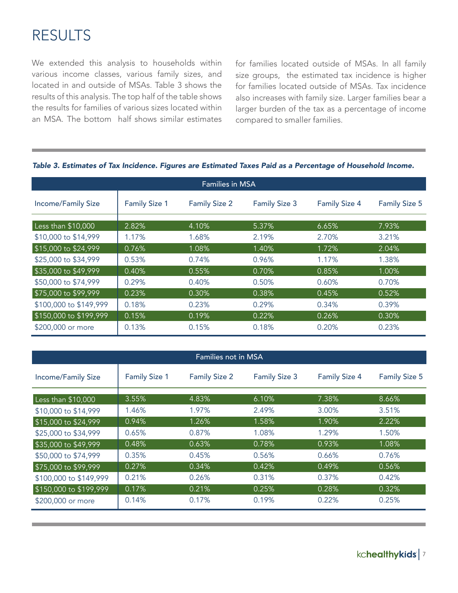## RESULTS

We extended this analysis to households within various income classes, various family sizes, and located in and outside of MSAs. Table 3 shows the results of this analysis. The top half of the table shows the results for families of various sizes located within an MSA. The bottom half shows similar estimates

for families located outside of MSAs. In all family size groups, the estimated tax incidence is higher for families located outside of MSAs. Tax incidence also increases with family size. Larger families bear a larger burden of the tax as a percentage of income compared to smaller families.

| <b>Families in MSA</b>    |                      |                      |                      |                      |                      |
|---------------------------|----------------------|----------------------|----------------------|----------------------|----------------------|
| <b>Income/Family Size</b> | <b>Family Size 1</b> | <b>Family Size 2</b> | <b>Family Size 3</b> | <b>Family Size 4</b> | <b>Family Size 5</b> |
| Less than \$10,000        | 2.82%                | 4.10%                | 5.37%                | 6.65%                | 7.93%                |
| \$10,000 to \$14,999      | 1.17%                | 1.68%                | 2.19%                | 2.70%                | 3.21%                |
| \$15,000 to \$24,999      | 0.76%                | 1.08%                | 1.40%                | 1.72%                | 2.04%                |
| \$25,000 to \$34,999      | 0.53%                | 0.74%                | 0.96%                | 1.17%                | 1.38%                |
| \$35,000 to \$49,999      | 0.40%                | 0.55%                | 0.70%                | 0.85%                | 1.00%                |
| \$50,000 to \$74,999      | 0.29%                | 0.40%                | 0.50%                | 0.60%                | 0.70%                |
| \$75,000 to \$99,999      | 0.23%                | 0.30%                | 0.38%                | 0.45%                | 0.52%                |
| \$100,000 to \$149,999    | 0.18%                | 0.23%                | 0.29%                | 0.34%                | 0.39%                |
| \$150,000 to \$199,999    | 0.15%                | 0.19%                | 0.22%                | 0.26%                | 0.30%                |
| \$200,000 or more         | 0.13%                | 0.15%                | 0.18%                | 0.20%                | 0.23%                |

#### *Table 3. Estimates of Tax Incidence. Figures are Estimated Taxes Paid as a Percentage of Household Income.*

| <b>Families not in MSA</b> |                      |                      |                      |                      |                      |  |
|----------------------------|----------------------|----------------------|----------------------|----------------------|----------------------|--|
| <b>Income/Family Size</b>  | <b>Family Size 1</b> | <b>Family Size 2</b> | <b>Family Size 3</b> | <b>Family Size 4</b> | <b>Family Size 5</b> |  |
| Less than \$10,000         | 3.55%                | 4.83%                | 6.10%                | 7.38%                | 8.66%                |  |
| \$10,000 to \$14,999       | 1.46%                | 1.97%                | 2.49%                | 3.00%                | 3.51%                |  |
| \$15,000 to \$24,999       | 0.94%                | 1.26%                | 1.58%                | 1.90%                | 2.22%                |  |
| \$25,000 to \$34,999       | 0.65%                | 0.87%                | 1.08%                | 1.29%                | 1.50%                |  |
| \$35,000 to \$49,999       | 0.48%                | 0.63%                | 0.78%                | 0.93%                | 1.08%                |  |
| \$50,000 to \$74,999       | 0.35%                | 0.45%                | 0.56%                | 0.66%                | 0.76%                |  |
| \$75,000 to \$99,999       | 0.27%                | 0.34%                | 0.42%                | 0.49%                | 0.56%                |  |
| \$100,000 to \$149,999     | 0.21%                | 0.26%                | 0.31%                | 0.37%                | 0.42%                |  |
| \$150,000 to \$199,999     | 0.17%                | 0.21%                | 0.25%                | 0.28%                | 0.32%                |  |
| \$200,000 or more          | 0.14%                | 0.17%                | 0.19%                | 0.22%                | 0.25%                |  |

kchealthykids | 7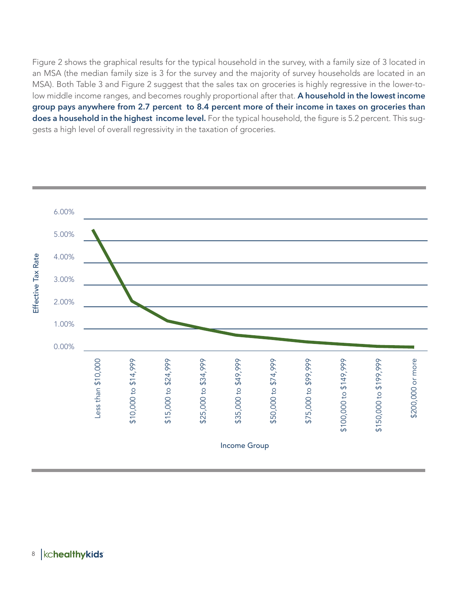Figure 2 shows the graphical results for the typical household in the survey, with a family size of 3 located in an MSA (the median family size is 3 for the survey and the majority of survey households are located in an MSA). Both Table 3 and Figure 2 suggest that the sales tax on groceries is highly regressive in the lower-tolow middle income ranges, and becomes roughly proportional after that. **A household in the lowest income group pays anywhere from 2.7 percent to 8.4 percent more of their income in taxes on groceries than does a household in the highest income level.** For the typical household, the figure is 5.2 percent. This suggests a high level of overall regressivity in the taxation of groceries.



#### kchealthykids 8